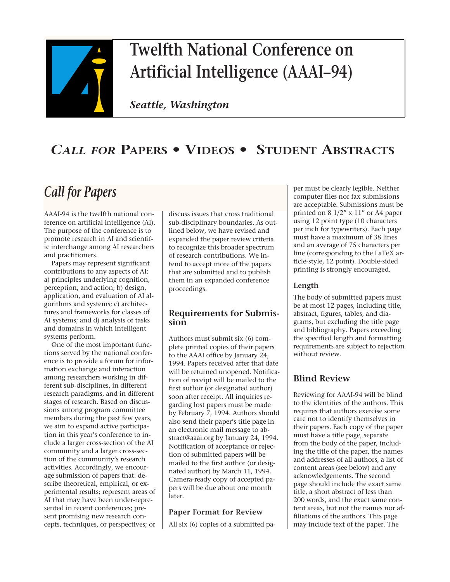

# **Twelfth National Conference on Artificial Intelligence (AAAI–94)**

*Seattle, Washington*

# *CALL FOR* **PAPERS • VIDEOS • STUDENT ABSTRACTS**

# *Call for Papers*

AAAI-94 is the twelfth national conference on artificial intelligence (AI). The purpose of the conference is to promote research in AI and scientific interchange among AI researchers and practitioners.

Papers may represent significant contributions to any aspects of AI: a) principles underlying cognition, perception, and action; b) design, application, and evaluation of AI algorithms and systems; c) architectures and frameworks for classes of AI systems; and d) analysis of tasks and domains in which intelligent systems perform.

One of the most important functions served by the national conference is to provide a forum for information exchange and interaction among researchers working in different sub-disciplines, in different research paradigms, and in different stages of research. Based on discussions among program committee members during the past few years, we aim to expand active participation in this year's conference to include a larger cross-section of the AI community and a larger cross-section of the community's research activities. Accordingly, we encourage submission of papers that: describe theoretical, empirical, or experimental results; represent areas of AI that may have been under-represented in recent conferences; present promising new research concepts, techniques, or perspectives; or discuss issues that cross traditional sub-disciplinary boundaries. As outlined below, we have revised and expanded the paper review criteria to recognize this broader spectrum of research contributions. We intend to accept more of the papers that are submitted and to publish them in an expanded conference proceedings.

#### **Requirements for Submission**

Authors must submit six (6) complete printed copies of their papers to the AAAI office by January 24, 1994. Papers received after that date will be returned unopened. Notification of receipt will be mailed to the first author (or designated author) soon after receipt. All inquiries regarding lost papers must be made by February 7, 1994. Authors should also send their paper's title page in an electronic mail message to abstract@aaai.org by January 24, 1994. Notification of acceptance or rejection of submitted papers will be mailed to the first author (or designated author) by March 11, 1994. Camera-ready copy of accepted papers will be due about one month later.

#### **Paper Format for Review**

All six (6) copies of a submitted pa-

per must be clearly legible. Neither computer files nor fax submissions are acceptable. Submissions must be printed on 8 1/2" x 11" or A4 paper using 12 point type (10 characters per inch for typewriters). Each page must have a maximum of 38 lines and an average of 75 characters per line (corresponding to the LaTeX article-style, 12 point). Double-sided printing is strongly encouraged.

#### **Length**

The body of submitted papers must be at most 12 pages, including title, abstract, figures, tables, and diagrams, but excluding the title page and bibliography. Papers exceeding the specified length and formatting requirements are subject to rejection without review.

## **Blind Review**

Reviewing for AAAI-94 will be blind to the identities of the authors. This requires that authors exercise some care not to identify themselves in their papers. Each copy of the paper must have a title page, separate from the body of the paper, including the title of the paper, the names and addresses of all authors, a list of content areas (see below) and any acknowledgements. The second page should include the exact same title, a short abstract of less than 200 words, and the exact same content areas, but not the names nor affiliations of the authors. This page may include text of the paper. The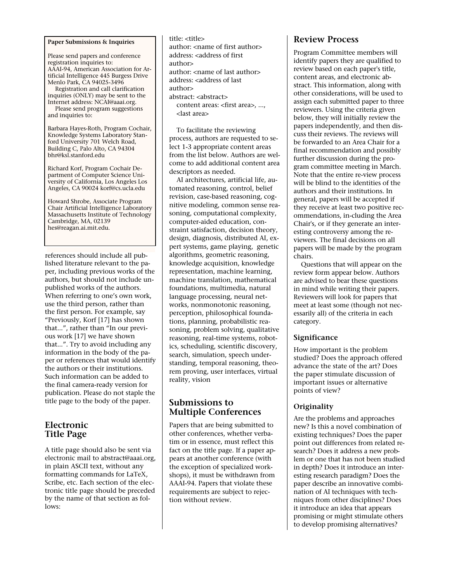#### **Paper Submissions & Inquiries**

Please send papers and conference registration inquiries to: AAAI-94, American Association for Artificial Intelligence 445 Burgess Drive Menlo Park, CA 94025-3496

Registration and call clarification inquiries (ONLY) may be sent to the Internet address: NCAI@aaai.org. Please send program suggestions and inquiries to:

Barbara Hayes-Roth, Program Cochair, Knowledge Systems Laboratory Stanford University 701 Welch Road, Building C, Palo Alto, CA 94304 bhr@ksl.stanford.edu

Richard Korf, Program Cochair Department of Computer Science University of California, Los Angeles Los Angeles, CA 90024 korf@cs.ucla.edu

Howard Shrobe, Associate Program Chair Artificial Intelligence Laboratory Massachusetts Institute of Technology Cambridge, MA, 02139 hes@reagan.ai.mit.edu.

references should include all published literature relevant to the paper, including previous works of the authors, but should not include unpublished works of the authors. When referring to one's own work, use the third person, rather than the first person. For example, say "Previously, Korf [17] has shown that...", rather than "In our previous work [17] we have shown that...". Try to avoid including any information in the body of the paper or references that would identify the authors or their institutions. Such information can be added to the final camera-ready version for publication. Please do not staple the title page to the body of the paper.

#### **Electronic Title Page**

A title page should also be sent via electronic mail to abstract@aaai.org, in plain ASCII text, without any formatting commands for LaTeX, Scribe, etc. Each section of the electronic title page should be preceded by the name of that section as follows:

title: <title> author: <name of first author> address: <address of first  $a$ uthor $\sim$ author: <name of last author> address: <address of last author> abstract: <abstract> content areas: <first area>, ..., <last area>

To facilitate the reviewing process, authors are requested to select 1-3 appropriate content areas from the list below. Authors are welcome to add additional content area descriptors as needed.

AI architectures, artificial life, automated reasoning, control, belief revision, case-based reasoning, cognitive modeling, common sense reasoning, computational complexity, computer-aided education, constraint satisfaction, decision theory, design, diagnosis, distributed AI, expert systems, game playing, genetic algorithms, geometric reasoning, knowledge acquisition, knowledge representation, machine learning, machine translation, mathematical foundations, multimedia, natural language processing, neural networks, nonmonotonic reasoning, perception, philosophical foundations, planning, probabilistic reasoning, problem solving, qualitative reasoning, real-time systems, robotics, scheduling, scientific discovery, search, simulation, speech understanding, temporal reasoning, theorem proving, user interfaces, virtual reality, vision

#### **Submissions to Multiple Conferences**

Papers that are being submitted to other conferences, whether verbatim or in essence, must reflect this fact on the title page. If a paper appears at another conference (with the exception of specialized workshops), it must be withdrawn from AAAI-94. Papers that violate these requirements are subject to rejection without review.

#### **Review Process**

Program Committee members will identify papers they are qualified to review based on each paper's title, content areas, and electronic abstract. This information, along with other considerations, will be used to assign each submitted paper to three reviewers. Using the criteria given below, they will initially review the papers independently, and then discuss their reviews. The reviews will be forwarded to an Area Chair for a final recommendation and possibly further discussion during the program committee meeting in March. Note that the entire re-view process will be blind to the identities of the authors and their institutions. In general, papers will be accepted if they receive at least two positive recommendations, in-cluding the Area Chair's, or if they generate an interesting controversy among the reviewers. The final decisions on all papers will be made by the program chairs.

Questions that will appear on the review form appear below. Authors are advised to bear these questions in mind while writing their papers. Reviewers will look for papers that meet at least some (though not necessarily all) of the criteria in each category.

#### **Significance**

How important is the problem studied? Does the approach offered advance the state of the art? Does the paper stimulate discussion of important issues or alternative points of view?

#### **Originality**

Are the problems and approaches new? Is this a novel combination of existing techniques? Does the paper point out differences from related research? Does it address a new problem or one that has not been studied in depth? Does it introduce an interesting research paradigm? Does the paper describe an innovative combination of AI techniques with techniques from other disciplines? Does it introduce an idea that appears promising or might stimulate others to develop promising alternatives?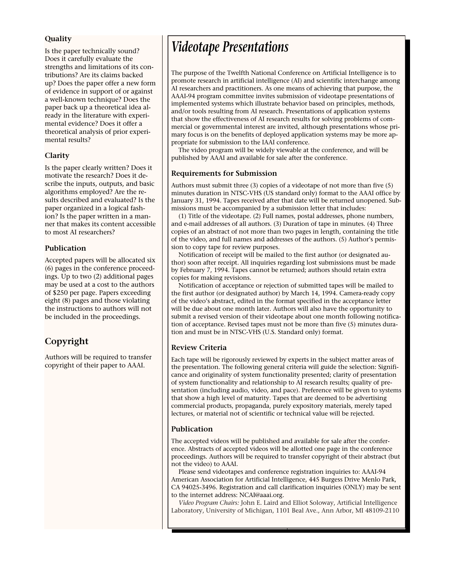#### **Quality**

Is the paper technically sound? Does it carefully evaluate the strengths and limitations of its contributions? Are its claims backed up? Does the paper offer a new form of evidence in support of or against a well-known technique? Does the paper back up a theoretical idea already in the literature with experimental evidence? Does it offer a theoretical analysis of prior experimental results?

#### **Clarity**

Is the paper clearly written? Does it motivate the research? Does it describe the inputs, outputs, and basic algorithms employed? Are the results described and evaluated? Is the paper organized in a logical fashion? Is the paper written in a manner that makes its content accessible to most AI researchers?

#### **Publication**

Accepted papers will be allocated six (6) pages in the conference proceedings. Up to two (2) additional pages may be used at a cost to the authors of \$250 per page. Papers exceeding eight (8) pages and those violating the instructions to authors will not be included in the proceedings.

## **Copyright**

Authors will be required to transfer copyright of their paper to AAAI.

# *Videotape Presentations*

The purpose of the Twelfth National Conference on Artificial Intelligence is to promote research in artificial intelligence (AI) and scientific interchange among AI researchers and practitioners. As one means of achieving that purpose, the AAAI-94 program committee invites submission of videotape presentations of implemented systems which illustrate behavior based on principles, methods, and/or tools resulting from AI research. Presentations of application systems that show the effectiveness of AI research results for solving problems of commercial or governmental interest are invited, although presentations whose primary focus is on the benefits of deployed application systems may be more appropriate for submission to the IAAI conference.

The video program will be widely viewable at the conference, and will be published by AAAI and available for sale after the conference.

#### **Requirements for Submission**

Authors must submit three (3) copies of a videotape of not more than five (5) minutes duration in NTSC-VHS (US standard only) format to the AAAI office by January 31, 1994. Tapes received after that date will be returned unopened. Submissions must be accompanied by a submission letter that includes:

(1) Title of the videotape. (2) Full names, postal addresses, phone numbers, and e-mail addresses of all authors. (3) Duration of tape in minutes. (4) Three copies of an abstract of not more than two pages in length, containing the title of the video, and full names and addresses of the authors. (5) Author's permission to copy tape for review purposes.

Notification of receipt will be mailed to the first author (or designated author) soon after receipt. All inquiries regarding lost submissions must be made by February 7, 1994. Tapes cannot be returned; authors should retain extra copies for making revisions.

Notification of acceptance or rejection of submitted tapes will be mailed to the first author (or designated author) by March 14, 1994. Camera-ready copy of the video's abstract, edited in the format specified in the acceptance letter will be due about one month later. Authors will also have the opportunity to submit a revised version of their videotape about one month following notification of acceptance. Revised tapes must not be more than five (5) minutes duration and must be in NTSC-VHS (U.S. Standard only) format.

#### **Review Criteria**

Each tape will be rigorously reviewed by experts in the subject matter areas of the presentation. The following general criteria will guide the selection: Significance and originality of system functionality presented; clarity of presentation of system functionality and relationship to AI research results; quality of presentation (including audio, video, and pace). Preference will be given to systems that show a high level of maturity. Tapes that are deemed to be advertising commercial products, propaganda, purely expository materials, merely taped lectures, or material not of scientific or technical value will be rejected.

#### **Publication**

The accepted videos will be published and available for sale after the conference. Abstracts of accepted videos will be allotted one page in the conference proceedings. Authors will be required to transfer copyright of their abstract (but not the video) to AAAI.

Please send videotapes and conference registration inquiries to: AAAI-94 American Association for Artificial Intelligence, 445 Burgess Drive Menlo Park, CA 94025-3496. Registration and call clarification inquiries (ONLY) may be sent to the internet address: NCAI@aaai.org.

*Video Program Chairs:* John E. Laird and Elliot Soloway, Artificial Intelligence Laboratory, University of Michigan, 1101 Beal Ave., Ann Arbor, MI 48109-2110